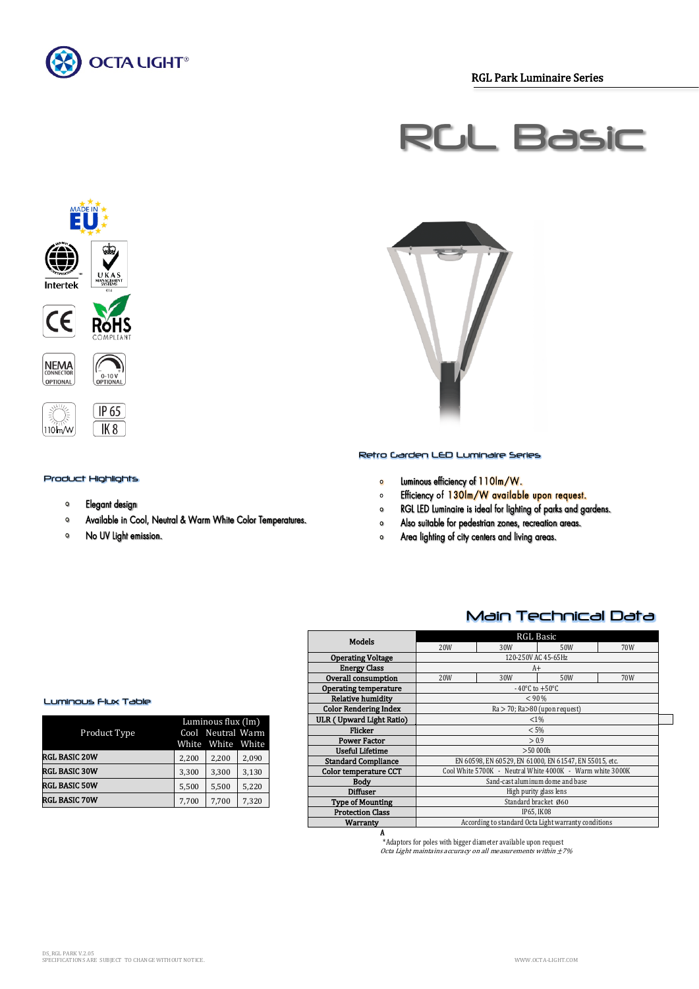

RGL Park Luminaire Series





#### Product Highlights

- $\mathbf{o}$ Elegant design
- $\bullet$ Available in Cool, Neutral & Warm White Color Temperatures.
- $\bullet$ No UV Light emission.



#### Retro Garden LED Luminaire Series

- Luminous efficiency of 110lm/W.  $\circ$
- Efficiency of 130Im/W available upon request.  $\circ$
- RGL LED Luminaire is ideal for lighting of parks and gardens.  $\bullet$
- Also suitable for pedestrian zones, recreation areas.  $\bullet$
- Area lighting of city centers and living areas.  $\Omega$

## Main Technical Data

| <b>Models</b>                | RGL Basic                                              |     |                                                           |     |  |
|------------------------------|--------------------------------------------------------|-----|-----------------------------------------------------------|-----|--|
|                              | 20W                                                    | 30W | 50W                                                       | 70W |  |
| <b>Operating Voltage</b>     | 120-250V AC 45-65Hz                                    |     |                                                           |     |  |
| <b>Energy Class</b>          |                                                        |     | A+                                                        |     |  |
| Overall consumption          | 20W                                                    | 30W | 50W                                                       | 70W |  |
| Operating temperature        | $-40^{\circ}$ C to $+50^{\circ}$ C                     |     |                                                           |     |  |
| Relative humidity            | < 90 %                                                 |     |                                                           |     |  |
| <b>Color Rendering Index</b> | Ra > 70; Ra>80 (upon request)                          |     |                                                           |     |  |
| ULR (Upward Light Ratio)     | $< 1\%$                                                |     |                                                           |     |  |
| <b>Flicker</b>               | < 5%                                                   |     |                                                           |     |  |
| <b>Power Factor</b>          | > 0.9                                                  |     |                                                           |     |  |
| <b>Useful Lifetime</b>       | >50000h                                                |     |                                                           |     |  |
| <b>Standard Compliance</b>   | EN 60598, EN 60529, EN 61000, EN 61547, EN 55015, etc. |     |                                                           |     |  |
| Color temperature CCT        |                                                        |     | Cool White 5700K - Neutral White 4000K - Warm white 3000K |     |  |
| Body                         | Sand-cast aluminum dome and base                       |     |                                                           |     |  |
| Diffuser                     | High purity glass lens                                 |     |                                                           |     |  |
| <b>Type of Mounting</b>      | Standard bracket Ø60                                   |     |                                                           |     |  |
| <b>Protection Class</b>      | IP65. IK08                                             |     |                                                           |     |  |
| Warranty                     | According to standard Octa Light warranty conditions   |     |                                                           |     |  |
| A                            |                                                        |     |                                                           |     |  |

\*Adaptors for poles with bigger diameter available upon request Octa Light maintains accuracy on all measurements within ±7%

#### Luminous Flux Table

| Product Type         |       | Luminous flux (lm)<br>Cool Neutral Warm<br>White White White |       |
|----------------------|-------|--------------------------------------------------------------|-------|
| <b>RGL BASIC 20W</b> | 2,200 | 2,200                                                        | 2,090 |
| <b>RGL BASIC 30W</b> | 3,300 | 3,300                                                        | 3,130 |
| <b>RGL BASIC 50W</b> | 5.500 | 5.500                                                        | 5,220 |
| RGL BASIC 70W        | 7,700 | 7,700                                                        | 7,320 |